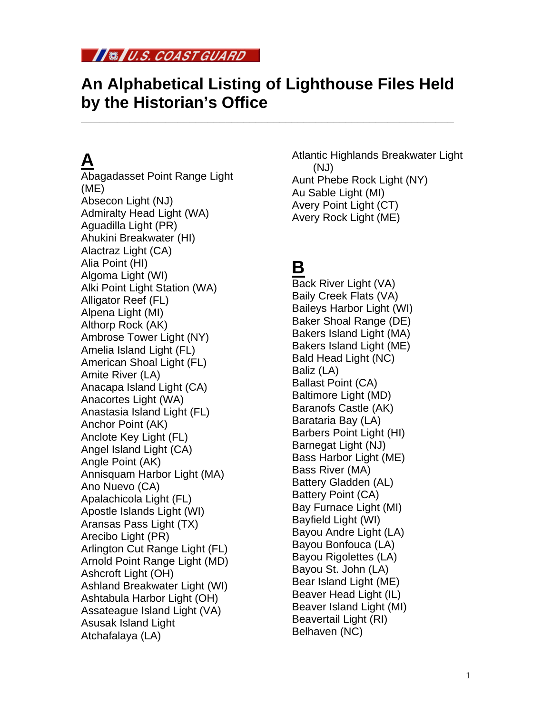

#### **An Alphabetical Listing of Lighthouse Files Held by the Historian's Office**

**\_\_\_\_\_\_\_\_\_\_\_\_\_\_\_\_\_\_\_\_\_\_\_\_\_\_\_\_\_\_\_\_\_\_\_\_\_\_\_\_\_\_\_\_\_\_\_\_\_\_\_\_\_\_\_\_\_\_\_\_\_\_** 

## **A**

Abagadasset Point Range Light (ME) Absecon Light (NJ) Admiralty Head Light (WA) Aguadilla Light (PR) Ahukini Breakwater (HI) Alactraz Light (CA) Alia Point (HI) Algoma Light (WI) Alki Point Light Station (WA) Alligator Reef (FL) Alpena Light (MI) Althorp Rock (AK) Ambrose Tower Light (NY) Amelia Island Light (FL) American Shoal Light (FL) Amite River (LA) Anacapa Island Light (CA) Anacortes Light (WA) Anastasia Island Light (FL) Anchor Point (AK) Anclote Key Light (FL) Angel Island Light (CA) Angle Point (AK) Annisquam Harbor Light (MA) Ano Nuevo (CA) Apalachicola Light (FL) Apostle Islands Light (WI) Aransas Pass Light (TX) Arecibo Light (PR) Arlington Cut Range Light (FL) Arnold Point Range Light (MD) Ashcroft Light (OH) Ashland Breakwater Light (WI) Ashtabula Harbor Light (OH) Assateague Island Light (VA) Asusak Island Light Atchafalaya (LA)

Atlantic Highlands Breakwater Light (NJ) Aunt Phebe Rock Light (NY) Au Sable Light (MI) Avery Point Light (CT) Avery Rock Light (ME)

## **B**

Back River Light (VA) Baily Creek Flats (VA) Baileys Harbor Light (WI) Baker Shoal Range (DE) Bakers Island Light (MA) Bakers Island Light (ME) Bald Head Light (NC) Baliz (LA) Ballast Point (CA) Baltimore Light (MD) Baranofs Castle (AK) Barataria Bay (LA) Barbers Point Light (HI) Barnegat Light (NJ) Bass Harbor Light (ME) Bass River (MA) Battery Gladden (AL) Battery Point (CA) Bay Furnace Light (MI) Bayfield Light (WI) Bayou Andre Light (LA) Bayou Bonfouca (LA) Bayou Rigolettes (LA) Bayou St. John (LA) Bear Island Light (ME) Beaver Head Light (IL) Beaver Island Light (MI) Beavertail Light (RI) Belhaven (NC)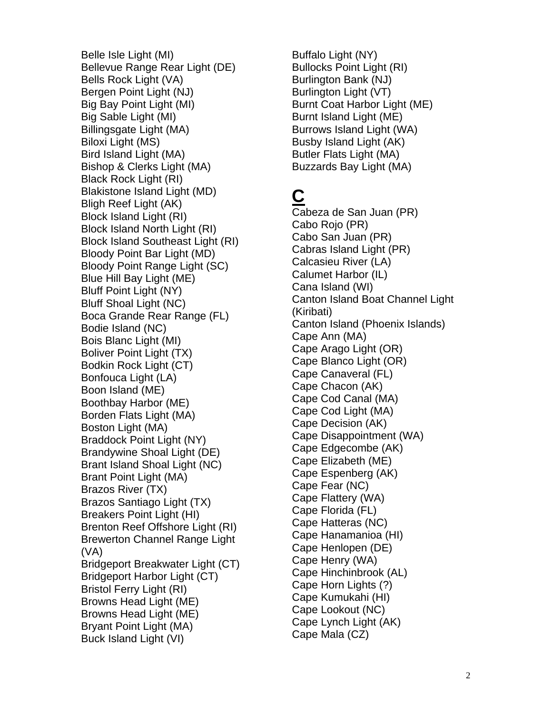Belle Isle Light (MI) Bellevue Range Rear Light (DE) Bells Rock Light (VA) Bergen Point Light (NJ) Big Bay Point Light (MI) Big Sable Light (MI) Billingsgate Light (MA) Biloxi Light (MS) Bird Island Light (MA) Bishop & Clerks Light (MA) Black Rock Light (RI) Blakistone Island Light (MD) Bligh Reef Light (AK) Block Island Light (RI) Block Island North Light (RI) Block Island Southeast Light (RI) Bloody Point Bar Light (MD) Bloody Point Range Light (SC) Blue Hill Bay Light (ME) Bluff Point Light (NY) Bluff Shoal Light (NC) Boca Grande Rear Range (FL) Bodie Island (NC) Bois Blanc Light (MI) Boliver Point Light (TX) Bodkin Rock Light (CT) Bonfouca Light (LA) Boon Island (ME) Boothbay Harbor (ME) Borden Flats Light (MA) Boston Light (MA) Braddock Point Light (NY) Brandywine Shoal Light (DE) Brant Island Shoal Light (NC) Brant Point Light (MA) Brazos River (TX) Brazos Santiago Light (TX) Breakers Point Light (HI) Brenton Reef Offshore Light (RI) Brewerton Channel Range Light (VA) Bridgeport Breakwater Light (CT) Bridgeport Harbor Light (CT) Bristol Ferry Light (RI) Browns Head Light (ME) Browns Head Light (ME) Bryant Point Light (MA) Buck Island Light (VI)

Buffalo Light (NY) Bullocks Point Light (RI) Burlington Bank (NJ) Burlington Light (VT) Burnt Coat Harbor Light (ME) Burnt Island Light (ME) Burrows Island Light (WA) Busby Island Light (AK) Butler Flats Light (MA) Buzzards Bay Light (MA)

# **C**

Cabeza de San Juan (PR) Cabo Rojo (PR) Cabo San Juan (PR) Cabras Island Light (PR) Calcasieu River (LA) Calumet Harbor (IL) Cana Island (WI) Canton Island Boat Channel Light (Kiribati) Canton Island (Phoenix Islands) Cape Ann (MA) Cape Arago Light (OR) Cape Blanco Light (OR) Cape Canaveral (FL) Cape Chacon (AK) Cape Cod Canal (MA) Cape Cod Light (MA) Cape Decision (AK) Cape Disappointment (WA) Cape Edgecombe (AK) Cape Elizabeth (ME) Cape Espenberg (AK) Cape Fear (NC) Cape Flattery (WA) Cape Florida (FL) Cape Hatteras (NC) Cape Hanamanioa (HI) Cape Henlopen (DE) Cape Henry (WA) Cape Hinchinbrook (AL) Cape Horn Lights (?) Cape Kumukahi (HI) Cape Lookout (NC) Cape Lynch Light (AK) Cape Mala (CZ)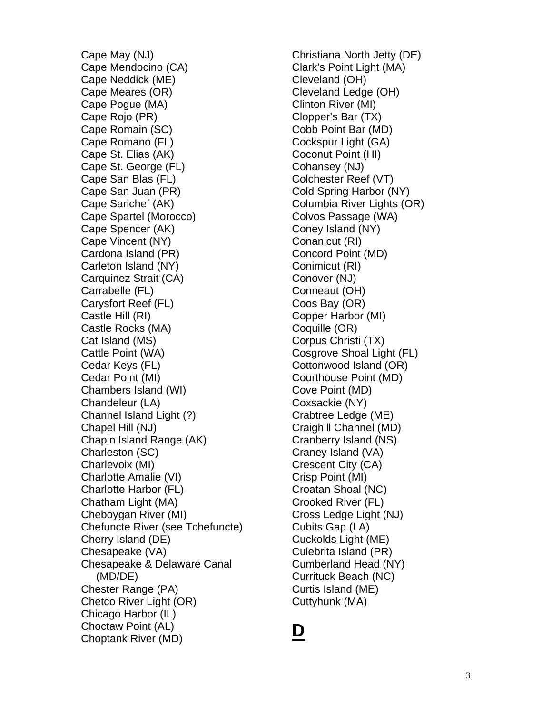Cape May (NJ) Cape Mendocino (CA) Cape Neddick (ME) Cape Meares (OR) Cape Pogue (MA) Cape Rojo (PR) Cape Romain (SC) Cape Romano (FL) Cape St. Elias (AK) Cape St. George (FL) Cape San Blas (FL) Cape San Juan (PR) Cape Sarichef (AK) Cape Spartel (Morocco) Cape Spencer (AK) Cape Vincent (NY) Cardona Island (PR) Carleton Island (NY) Carquinez Strait (CA) Carrabelle (FL) Carysfort Reef (FL) Castle Hill (RI) Castle Rocks (MA) Cat Island (MS) Cattle Point (WA) Cedar Keys (FL) Cedar Point (MI) Chambers Island (WI) Chandeleur (LA) Channel Island Light (?) Chapel Hill (NJ) Chapin Island Range (AK) Charleston (SC) Charlevoix (MI) Charlotte Amalie (VI) Charlotte Harbor (FL) Chatham Light (MA) Cheboygan River (MI) Chefuncte River (see Tchefuncte) Cherry Island (DE) Chesapeake (VA) Chesapeake & Delaware Canal (MD/DE) Chester Range (PA) Chetco River Light (OR) Chicago Harbor (IL) Choctaw Point (AL) Choptank River (MD)

Christiana North Jetty (DE) Clark's Point Light (MA) Cleveland (OH) Cleveland Ledge (OH) Clinton River (MI) Clopper's Bar (TX) Cobb Point Bar (MD) Cockspur Light (GA) Coconut Point (HI) Cohansey (NJ) Colchester Reef (VT) Cold Spring Harbor (NY) Columbia River Lights (OR) Colvos Passage (WA) Coney Island (NY) Conanicut (RI) Concord Point (MD) Conimicut (RI) Conover (NJ) Conneaut (OH) Coos Bay (OR) Copper Harbor (MI) Coquille (OR) Corpus Christi (TX) Cosgrove Shoal Light (FL) Cottonwood Island (OR) Courthouse Point (MD) Cove Point (MD) Coxsackie (NY) Crabtree Ledge (ME) Craighill Channel (MD) Cranberry Island (NS) Craney Island (VA) Crescent City (CA) Crisp Point (MI) Croatan Shoal (NC) Crooked River (FL) Cross Ledge Light (NJ) Cubits Gap (LA) Cuckolds Light (ME) Culebrita Island (PR) Cumberland Head (NY) Currituck Beach (NC) Curtis Island (ME) Cuttyhunk (MA)

#### **D**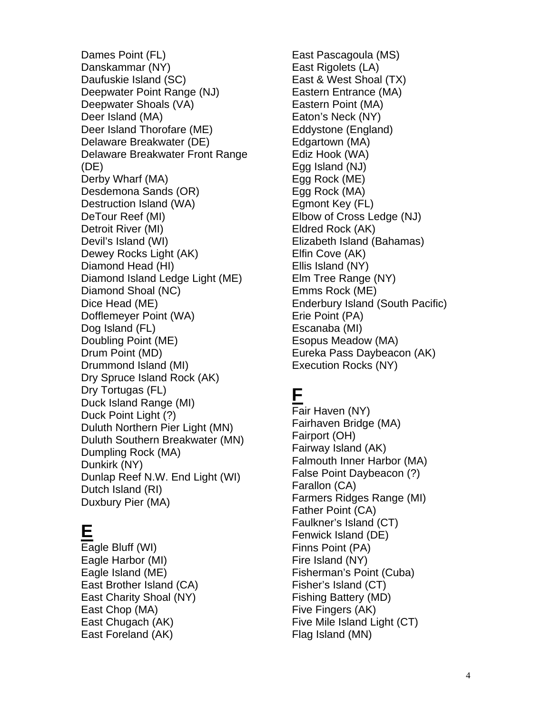Dames Point (FL) Danskammar (NY) Daufuskie Island (SC) Deepwater Point Range (NJ) Deepwater Shoals (VA) Deer Island (MA) Deer Island Thorofare (ME) Delaware Breakwater (DE) Delaware Breakwater Front Range (DE) Derby Wharf (MA) Desdemona Sands (OR) Destruction Island (WA) DeTour Reef (MI) Detroit River (MI) Devil's Island (WI) Dewey Rocks Light (AK) Diamond Head (HI) Diamond Island Ledge Light (ME) Diamond Shoal (NC) Dice Head (ME) Dofflemeyer Point (WA) Dog Island (FL) Doubling Point (ME) Drum Point (MD) Drummond Island (MI) Dry Spruce Island Rock (AK) Dry Tortugas (FL) Duck Island Range (MI) Duck Point Light (?) Duluth Northern Pier Light (MN) Duluth Southern Breakwater (MN) Dumpling Rock (MA) Dunkirk (NY) Dunlap Reef N.W. End Light (WI) Dutch Island (RI) Duxbury Pier (MA)

#### **E**

Eagle Bluff (WI) Eagle Harbor (MI) Eagle Island (ME) East Brother Island (CA) East Charity Shoal (NY) East Chop (MA) East Chugach (AK) East Foreland (AK)

East Pascagoula (MS) East Rigolets (LA) East & West Shoal (TX) Eastern Entrance (MA) Eastern Point (MA) Eaton's Neck (NY) Eddystone (England) Edgartown (MA) Ediz Hook (WA) Egg Island (NJ) Egg Rock (ME) Egg Rock (MA) Egmont Key (FL) Elbow of Cross Ledge (NJ) Eldred Rock (AK) Elizabeth Island (Bahamas) Elfin Cove (AK) Ellis Island (NY) Elm Tree Range (NY) Emms Rock (ME) Enderbury Island (South Pacific) Erie Point (PA) Escanaba (MI) Esopus Meadow (MA) Eureka Pass Daybeacon (AK) Execution Rocks (NY)

### **F**

Fair Haven (NY) Fairhaven Bridge (MA) Fairport (OH) Fairway Island (AK) Falmouth Inner Harbor (MA) False Point Daybeacon (?) Farallon (CA) Farmers Ridges Range (MI) Father Point (CA) Faulkner's Island (CT) Fenwick Island (DE) Finns Point (PA) Fire Island (NY) Fisherman's Point (Cuba) Fisher's Island (CT) Fishing Battery (MD) Five Fingers (AK) Five Mile Island Light (CT) Flag Island (MN)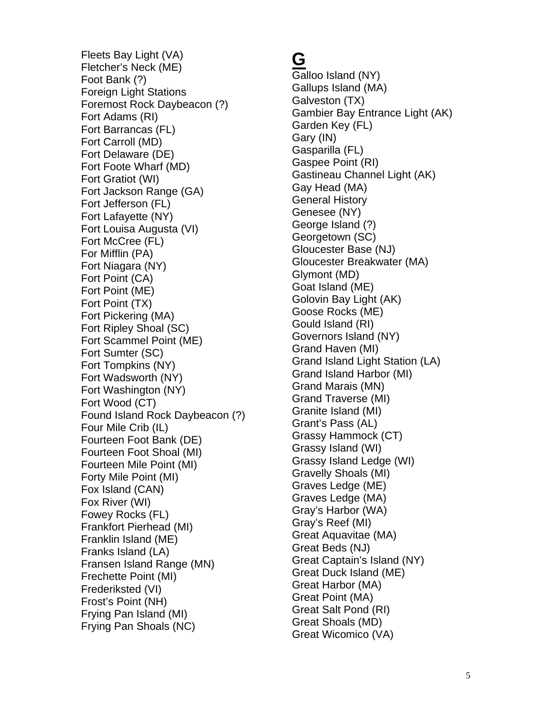Fleets Bay Light (VA) Fletcher's Neck (ME) Foot Bank (?) Foreign Light Stations Foremost Rock Daybeacon (?) Fort Adams (RI) Fort Barrancas (FL) Fort Carroll (MD) Fort Delaware (DE) Fort Foote Wharf (MD) Fort Gratiot (WI) Fort Jackson Range (GA) Fort Jefferson (FL) Fort Lafayette (NY) Fort Louisa Augusta (VI) Fort McCree (FL) For Mifflin (PA) Fort Niagara (NY) Fort Point (CA) Fort Point (ME) Fort Point (TX) Fort Pickering (MA) Fort Ripley Shoal (SC) Fort Scammel Point (ME) Fort Sumter (SC) Fort Tompkins (NY) Fort Wadsworth (NY) Fort Washington (NY) Fort Wood (CT) Found Island Rock Daybeacon (?) Four Mile Crib (IL) Fourteen Foot Bank (DE) Fourteen Foot Shoal (MI) Fourteen Mile Point (MI) Forty Mile Point (MI) Fox Island (CAN) Fox River (WI) Fowey Rocks (FL) Frankfort Pierhead (MI) Franklin Island (ME) Franks Island (LA) Fransen Island Range (MN) Frechette Point (MI) Frederiksted (VI) Frost's Point (NH) Frying Pan Island (MI) Frying Pan Shoals (NC)

### **G**

Galloo Island (NY) Gallups Island (MA) Galveston (TX) Gambier Bay Entrance Light (AK) Garden Key (FL) Gary (IN) Gasparilla (FL) Gaspee Point (RI) Gastineau Channel Light (AK) Gay Head (MA) General History Genesee (NY) George Island (?) Georgetown (SC) Gloucester Base (NJ) Gloucester Breakwater (MA) Glymont (MD) Goat Island (ME) Golovin Bay Light (AK) Goose Rocks (ME) Gould Island (RI) Governors Island (NY) Grand Haven (MI) Grand Island Light Station (LA) Grand Island Harbor (MI) Grand Marais (MN) Grand Traverse (MI) Granite Island (MI) Grant's Pass (AL) Grassy Hammock (CT) Grassy Island (WI) Grassy Island Ledge (WI) Gravelly Shoals (MI) Graves Ledge (ME) Graves Ledge (MA) Gray's Harbor (WA) Gray's Reef (MI) Great Aquavitae (MA) Great Beds (NJ) Great Captain's Island (NY) Great Duck Island (ME) Great Harbor (MA) Great Point (MA) Great Salt Pond (RI) Great Shoals (MD) Great Wicomico (VA)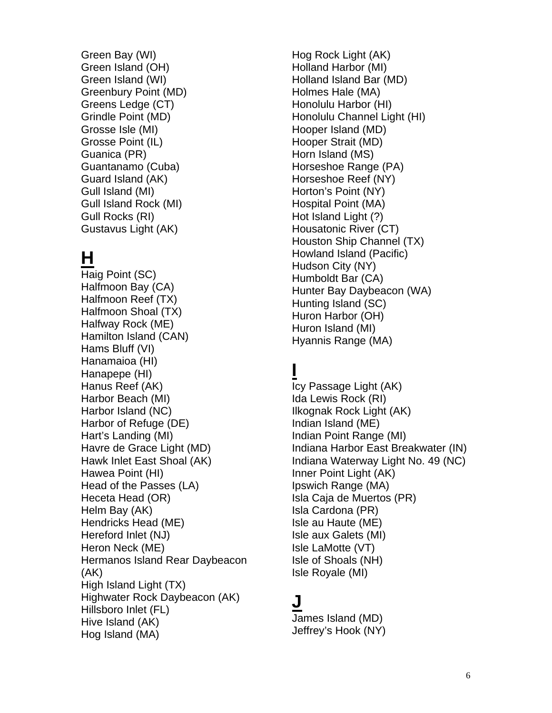Green Bay (WI) Green Island (OH) Green Island (WI) Greenbury Point (MD) Greens Ledge (CT) Grindle Point (MD) Grosse Isle (MI) Grosse Point (IL) Guanica (PR) Guantanamo (Cuba) Guard Island (AK) Gull Island (MI) Gull Island Rock (MI) Gull Rocks (RI) Gustavus Light (AK)

# **H**

Haig Point (SC) Halfmoon Bay (CA) Halfmoon Reef (TX) Halfmoon Shoal (TX) Halfway Rock (ME) Hamilton Island (CAN) Hams Bluff (VI) Hanamaioa (HI) Hanapepe (HI) Hanus Reef (AK) Harbor Beach (MI) Harbor Island (NC) Harbor of Refuge (DE) Hart's Landing (MI) Havre de Grace Light (MD) Hawk Inlet East Shoal (AK) Hawea Point (HI) Head of the Passes (LA) Heceta Head (OR) Helm Bay (AK) Hendricks Head (ME) Hereford Inlet (NJ) Heron Neck (ME) Hermanos Island Rear Daybeacon (AK) High Island Light (TX) Highwater Rock Daybeacon (AK) Hillsboro Inlet (FL) Hive Island (AK) Hog Island (MA)

Hog Rock Light (AK) Holland Harbor (MI) Holland Island Bar (MD) Holmes Hale (MA) Honolulu Harbor (HI) Honolulu Channel Light (HI) Hooper Island (MD) Hooper Strait (MD) Horn Island (MS) Horseshoe Range (PA) Horseshoe Reef (NY) Horton's Point (NY) Hospital Point (MA) Hot Island Light (?) Housatonic River (CT) Houston Ship Channel (TX) Howland Island (Pacific) Hudson City (NY) Humboldt Bar (CA) Hunter Bay Daybeacon (WA) Hunting Island (SC) Huron Harbor (OH) Huron Island (MI) Hyannis Range (MA)

# **I**

Icy Passage Light (AK) Ida Lewis Rock (RI) Ilkognak Rock Light (AK) Indian Island (ME) Indian Point Range (MI) Indiana Harbor East Breakwater (IN) Indiana Waterway Light No. 49 (NC) Inner Point Light (AK) Ipswich Range (MA) Isla Caja de Muertos (PR) Isla Cardona (PR) Isle au Haute (ME) Isle aux Galets (MI) Isle LaMotte (VT) Isle of Shoals (NH) Isle Royale (MI)

### **J**

James Island (MD) Jeffrey's Hook (NY)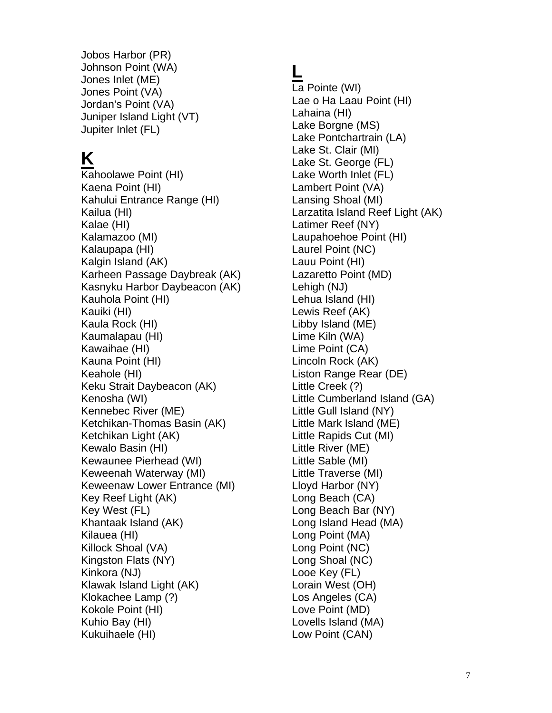Jobos Harbor (PR) Johnson Point (WA) Jones Inlet (ME) Jones Point (VA) Jordan's Point (VA) Juniper Island Light (VT) Jupiter Inlet (FL)

# **K**

Kahoolawe Point (HI) Kaena Point (HI) Kahului Entrance Range (HI) Kailua (HI) Kalae (HI) Kalamazoo (MI) Kalaupapa (HI) Kalgin Island (AK) Karheen Passage Daybreak (AK) Kasnyku Harbor Daybeacon (AK) Kauhola Point (HI) Kauiki (HI) Kaula Rock (HI) Kaumalapau (HI) Kawaihae (HI) Kauna Point (HI) Keahole (HI) Keku Strait Daybeacon (AK) Kenosha (WI) Kennebec River (ME) Ketchikan-Thomas Basin (AK) Ketchikan Light (AK) Kewalo Basin (HI) Kewaunee Pierhead (WI) Keweenah Waterway (MI) Keweenaw Lower Entrance (MI) Key Reef Light (AK) Key West (FL) Khantaak Island (AK) Kilauea (HI) Killock Shoal (VA) Kingston Flats (NY) Kinkora (NJ) Klawak Island Light (AK) Klokachee Lamp (?) Kokole Point (HI) Kuhio Bay (HI) Kukuihaele (HI)

## **L**

La Pointe (WI) Lae o Ha Laau Point (HI) Lahaina (HI) Lake Borgne (MS) Lake Pontchartrain (LA) Lake St. Clair (MI) Lake St. George (FL) Lake Worth Inlet (FL) Lambert Point (VA) Lansing Shoal (MI) Larzatita Island Reef Light (AK) Latimer Reef (NY) Laupahoehoe Point (HI) Laurel Point (NC) Lauu Point (HI) Lazaretto Point (MD) Lehigh (NJ) Lehua Island (HI) Lewis Reef (AK) Libby Island (ME) Lime Kiln (WA) Lime Point (CA) Lincoln Rock (AK) Liston Range Rear (DE) Little Creek (?) Little Cumberland Island (GA) Little Gull Island (NY) Little Mark Island (ME) Little Rapids Cut (MI) Little River (ME) Little Sable (MI) Little Traverse (MI) Lloyd Harbor (NY) Long Beach (CA) Long Beach Bar (NY) Long Island Head (MA) Long Point (MA) Long Point (NC) Long Shoal (NC) Looe Key (FL) Lorain West (OH) Los Angeles (CA) Love Point (MD) Lovells Island (MA) Low Point (CAN)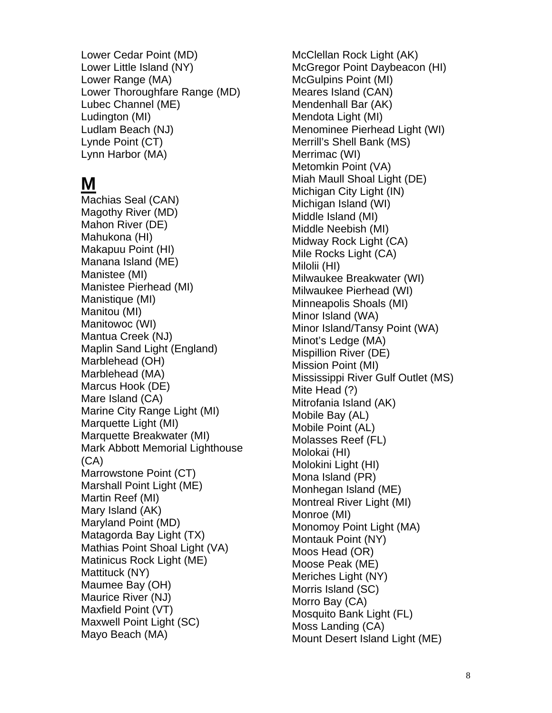Lower Cedar Point (MD) Lower Little Island (NY) Lower Range (MA) Lower Thoroughfare Range (MD) Lubec Channel (ME) Ludington (MI) Ludlam Beach (NJ) Lynde Point (CT) Lynn Harbor (MA)

# **M**

Machias Seal (CAN) Magothy River (MD) Mahon River (DE) Mahukona (HI) Makapuu Point (HI) Manana Island (ME) Manistee (MI) Manistee Pierhead (MI) Manistique (MI) Manitou (MI) Manitowoc (WI) Mantua Creek (NJ) Maplin Sand Light (England) Marblehead (OH) Marblehead (MA) Marcus Hook (DE) Mare Island (CA) Marine City Range Light (MI) Marquette Light (MI) Marquette Breakwater (MI) Mark Abbott Memorial Lighthouse (CA) Marrowstone Point (CT) Marshall Point Light (ME) Martin Reef (MI) Mary Island (AK) Maryland Point (MD) Matagorda Bay Light (TX) Mathias Point Shoal Light (VA) Matinicus Rock Light (ME) Mattituck (NY) Maumee Bay (OH) Maurice River (NJ) Maxfield Point (VT) Maxwell Point Light (SC) Mayo Beach (MA)

McClellan Rock Light (AK) McGregor Point Daybeacon (HI) McGulpins Point (MI) Meares Island (CAN) Mendenhall Bar (AK) Mendota Light (MI) Menominee Pierhead Light (WI) Merrill's Shell Bank (MS) Merrimac (WI) Metomkin Point (VA) Miah Maull Shoal Light (DE) Michigan City Light (IN) Michigan Island (WI) Middle Island (MI) Middle Neebish (MI) Midway Rock Light (CA) Mile Rocks Light (CA) Milolii (HI) Milwaukee Breakwater (WI) Milwaukee Pierhead (WI) Minneapolis Shoals (MI) Minor Island (WA) Minor Island/Tansy Point (WA) Minot's Ledge (MA) Mispillion River (DE) Mission Point (MI) Mississippi River Gulf Outlet (MS) Mite Head (?) Mitrofania Island (AK) Mobile Bay (AL) Mobile Point (AL) Molasses Reef (FL) Molokai (HI) Molokini Light (HI) Mona Island (PR) Monhegan Island (ME) Montreal River Light (MI) Monroe (MI) Monomoy Point Light (MA) Montauk Point (NY) Moos Head (OR) Moose Peak (ME) Meriches Light (NY) Morris Island (SC) Morro Bay (CA) Mosquito Bank Light (FL) Moss Landing (CA) Mount Desert Island Light (ME)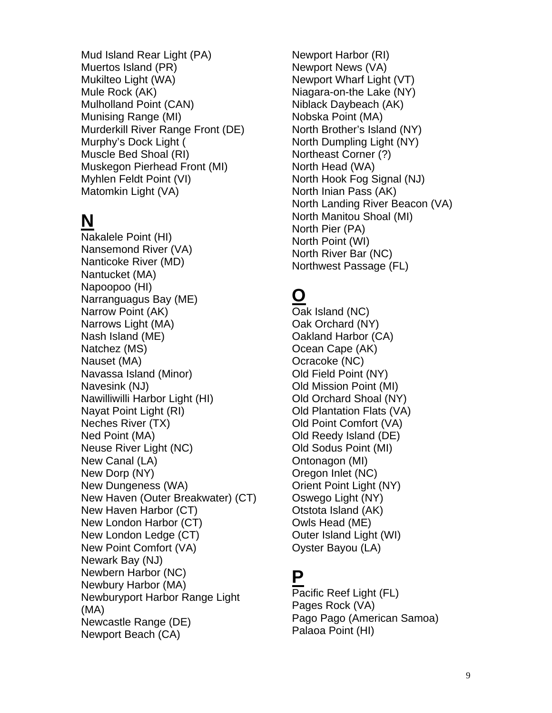Mud Island Rear Light (PA) Muertos Island (PR) Mukilteo Light (WA) Mule Rock (AK) Mulholland Point (CAN) Munising Range (MI) Murderkill River Range Front (DE) Murphy's Dock Light ( Muscle Bed Shoal (RI) Muskegon Pierhead Front (MI) Myhlen Feldt Point (VI) Matomkin Light (VA)

# **N**

Nakalele Point (HI) Nansemond River (VA) Nanticoke River (MD) Nantucket (MA) Napoopoo (HI) Narranguagus Bay (ME) Narrow Point (AK) Narrows Light (MA) Nash Island (ME) Natchez (MS) Nauset (MA) Navassa Island (Minor) Navesink (NJ) Nawilliwilli Harbor Light (HI) Nayat Point Light (RI) Neches River (TX) Ned Point (MA) Neuse River Light (NC) New Canal (LA) New Dorp (NY) New Dungeness (WA) New Haven (Outer Breakwater) (CT) New Haven Harbor (CT) New London Harbor (CT) New London Ledge (CT) New Point Comfort (VA) Newark Bay (NJ) Newbern Harbor (NC) Newbury Harbor (MA) Newburyport Harbor Range Light (MA) Newcastle Range (DE) Newport Beach (CA)

Newport Harbor (RI) Newport News (VA) Newport Wharf Light (VT) Niagara-on-the Lake (NY) Niblack Daybeach (AK) Nobska Point (MA) North Brother's Island (NY) North Dumpling Light (NY) Northeast Corner (?) North Head (WA) North Hook Fog Signal (NJ) North Inian Pass (AK) North Landing River Beacon (VA) North Manitou Shoal (MI) North Pier (PA) North Point (WI) North River Bar (NC) Northwest Passage (FL)

## **O**

Oak Island (NC) Oak Orchard (NY) Oakland Harbor (CA) Ocean Cape (AK) Ocracoke (NC) Old Field Point (NY) Old Mission Point (MI) Old Orchard Shoal (NY) Old Plantation Flats (VA) Old Point Comfort (VA) Old Reedy Island (DE) Old Sodus Point (MI) Ontonagon (MI) Oregon Inlet (NC) Orient Point Light (NY) Oswego Light (NY) Otstota Island (AK) Owls Head (ME) Outer Island Light (WI) Oyster Bayou (LA)

#### **P**

Pacific Reef Light (FL) Pages Rock (VA) Pago Pago (American Samoa) Palaoa Point (HI)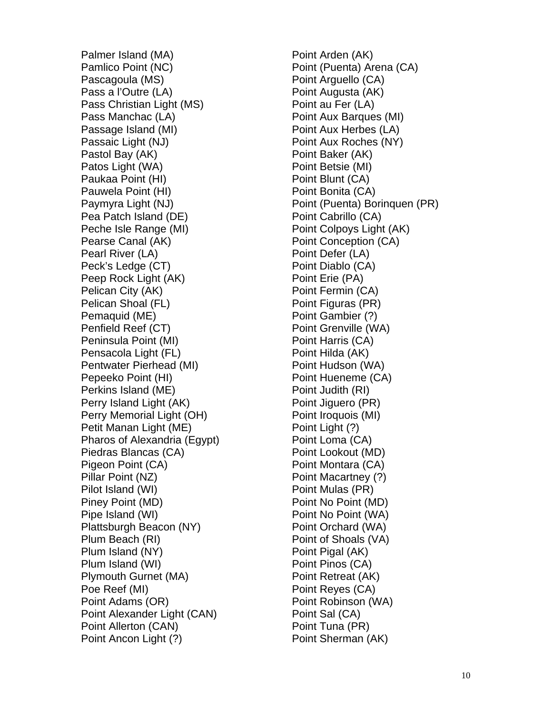Palmer Island (MA) Pamlico Point (NC) Pascagoula (MS) Pass a l'Outre (LA) Pass Christian Light (MS) Pass Manchac (LA) Passage Island (MI) Passaic Light (NJ) Pastol Bay (AK) Patos Light (WA) Paukaa Point (HI) Pauwela Point (HI) Paymyra Light (NJ) Pea Patch Island (DE) Peche Isle Range (MI) Pearse Canal (AK) Pearl River (LA) Peck's Ledge (CT) Peep Rock Light (AK) Pelican City (AK) Pelican Shoal (FL) Pemaquid (ME) Penfield Reef (CT) Peninsula Point (MI) Pensacola Light (FL) Pentwater Pierhead (MI) Pepeeko Point (HI) Perkins Island (ME) Perry Island Light (AK) Perry Memorial Light (OH) Petit Manan Light (ME) Pharos of Alexandria (Egypt) Piedras Blancas (CA) Pigeon Point (CA) Pillar Point (NZ) Pilot Island (WI) Piney Point (MD) Pipe Island (WI) Plattsburgh Beacon (NY) Plum Beach (RI) Plum Island (NY) Plum Island (WI) Plymouth Gurnet (MA) Poe Reef (MI) Point Adams (OR) Point Alexander Light (CAN) Point Allerton (CAN) Point Ancon Light (?)

Point Arden (AK) Point (Puenta) Arena (CA) Point Arguello (CA) Point Augusta (AK) Point au Fer (LA) Point Aux Barques (MI) Point Aux Herbes (LA) Point Aux Roches (NY) Point Baker (AK) Point Betsie (MI) Point Blunt (CA) Point Bonita (CA) Point (Puenta) Borinquen (PR) Point Cabrillo (CA) Point Colpoys Light (AK) Point Conception (CA) Point Defer (LA) Point Diablo (CA) Point Erie (PA) Point Fermin (CA) Point Figuras (PR) Point Gambier (?) Point Grenville (WA) Point Harris (CA) Point Hilda (AK) Point Hudson (WA) Point Hueneme (CA) Point Judith (RI) Point Jiguero (PR) Point Iroquois (MI) Point Light (?) Point Loma (CA) Point Lookout (MD) Point Montara (CA) Point Macartney (?) Point Mulas (PR) Point No Point (MD) Point No Point (WA) Point Orchard (WA) Point of Shoals (VA) Point Pigal (AK) Point Pinos (CA) Point Retreat (AK) Point Reyes (CA) Point Robinson (WA) Point Sal (CA) Point Tuna (PR) Point Sherman (AK)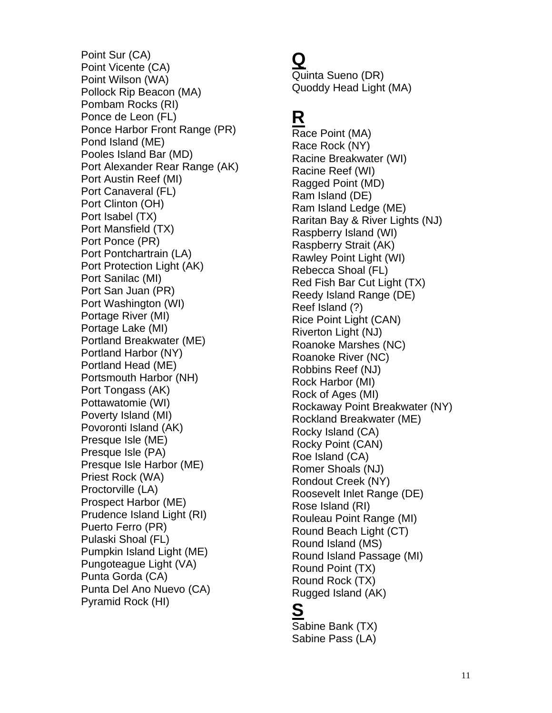Point Sur (CA) Point Vicente (CA) Point Wilson (WA) Pollock Rip Beacon (MA) Pombam Rocks (RI) Ponce de Leon (FL) Ponce Harbor Front Range (PR) Pond Island (ME) Pooles Island Bar (MD) Port Alexander Rear Range (AK) Port Austin Reef (MI) Port Canaveral (FL) Port Clinton (OH) Port Isabel (TX) Port Mansfield (TX) Port Ponce (PR) Port Pontchartrain (LA) Port Protection Light (AK) Port Sanilac (MI) Port San Juan (PR) Port Washington (WI) Portage River (MI) Portage Lake (MI) Portland Breakwater (ME) Portland Harbor (NY) Portland Head (ME) Portsmouth Harbor (NH) Port Tongass (AK) Pottawatomie (WI) Poverty Island (MI) Povoronti Island (AK) Presque Isle (ME) Presque Isle (PA) Presque Isle Harbor (ME) Priest Rock (WA) Proctorville (LA) Prospect Harbor (ME) Prudence Island Light (RI) Puerto Ferro (PR) Pulaski Shoal (FL) Pumpkin Island Light (ME) Pungoteague Light (VA) Punta Gorda (CA) Punta Del Ano Nuevo (CA) Pyramid Rock (HI)

### **Q**

Quinta Sueno (DR) Quoddy Head Light (MA)

# **R**

Race Point (MA) Race Rock (NY) Racine Breakwater (WI) Racine Reef (WI) Ragged Point (MD) Ram Island (DE) Ram Island Ledge (ME) Raritan Bay & River Lights (NJ) Raspberry Island (WI) Raspberry Strait (AK) Rawley Point Light (WI) Rebecca Shoal (FL) Red Fish Bar Cut Light (TX) Reedy Island Range (DE) Reef Island (?) Rice Point Light (CAN) Riverton Light (NJ) Roanoke Marshes (NC) Roanoke River (NC) Robbins Reef (NJ) Rock Harbor (MI) Rock of Ages (MI) Rockaway Point Breakwater (NY) Rockland Breakwater (ME) Rocky Island (CA) Rocky Point (CAN) Roe Island (CA) Romer Shoals (NJ) Rondout Creek (NY) Roosevelt Inlet Range (DE) Rose Island (RI) Rouleau Point Range (MI) Round Beach Light (CT) Round Island (MS) Round Island Passage (MI) Round Point (TX) Round Rock (TX) Rugged Island (AK)

# **S**

Sabine Bank (TX) Sabine Pass (LA)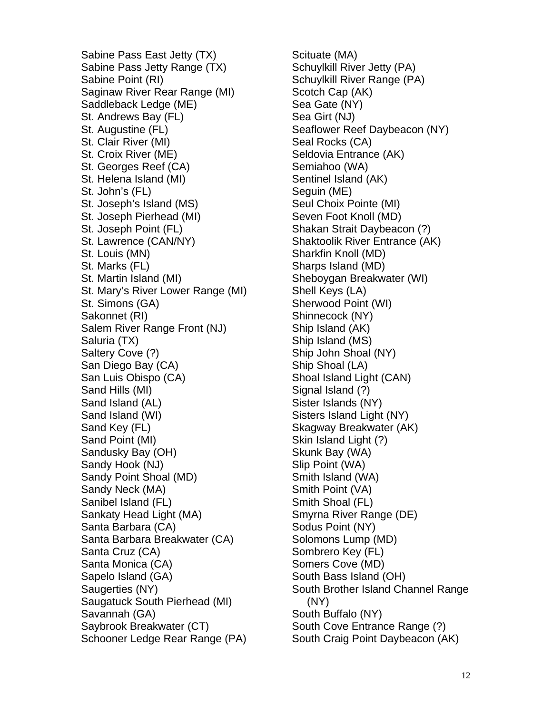Sabine Pass East Jetty (TX) Sabine Pass Jetty Range (TX) Sabine Point (RI) Saginaw River Rear Range (MI) Saddleback Ledge (ME) St. Andrews Bay (FL) St. Augustine (FL) St. Clair River (MI) St. Croix River (ME) St. Georges Reef (CA) St. Helena Island (MI) St. John's (FL) St. Joseph's Island (MS) St. Joseph Pierhead (MI) St. Joseph Point (FL) St. Lawrence (CAN/NY) St. Louis (MN) St. Marks (FL) St. Martin Island (MI) St. Mary's River Lower Range (MI) St. Simons (GA) Sakonnet (RI) Salem River Range Front (NJ) Saluria (TX) Saltery Cove (?) San Diego Bay (CA) San Luis Obispo (CA) Sand Hills (MI) Sand Island (AL) Sand Island (WI) Sand Key (FL) Sand Point (MI) Sandusky Bay (OH) Sandy Hook (NJ) Sandy Point Shoal (MD) Sandy Neck (MA) Sanibel Island (FL) Sankaty Head Light (MA) Santa Barbara (CA) Santa Barbara Breakwater (CA) Santa Cruz (CA) Santa Monica (CA) Sapelo Island (GA) Saugerties (NY) Saugatuck South Pierhead (MI) Savannah (GA) Saybrook Breakwater (CT) Schooner Ledge Rear Range (PA)

Scituate (MA) Schuylkill River Jetty (PA) Schuylkill River Range (PA) Scotch Cap (AK) Sea Gate (NY) Sea Girt (NJ) Seaflower Reef Daybeacon (NY) Seal Rocks (CA) Seldovia Entrance (AK) Semiahoo (WA) Sentinel Island (AK) Seguin (ME) Seul Choix Pointe (MI) Seven Foot Knoll (MD) Shakan Strait Daybeacon (?) Shaktoolik River Entrance (AK) Sharkfin Knoll (MD) Sharps Island (MD) Sheboygan Breakwater (WI) Shell Keys (LA) Sherwood Point (WI) Shinnecock (NY) Ship Island (AK) Ship Island (MS) Ship John Shoal (NY) Ship Shoal (LA) Shoal Island Light (CAN) Signal Island (?) Sister Islands (NY) Sisters Island Light (NY) Skagway Breakwater (AK) Skin Island Light (?) Skunk Bay (WA) Slip Point (WA) Smith Island (WA) Smith Point (VA) Smith Shoal (FL) Smyrna River Range (DE) Sodus Point (NY) Solomons Lump (MD) Sombrero Key (FL) Somers Cove (MD) South Bass Island (OH) South Brother Island Channel Range (NY) South Buffalo (NY) South Cove Entrance Range (?) South Craig Point Daybeacon (AK)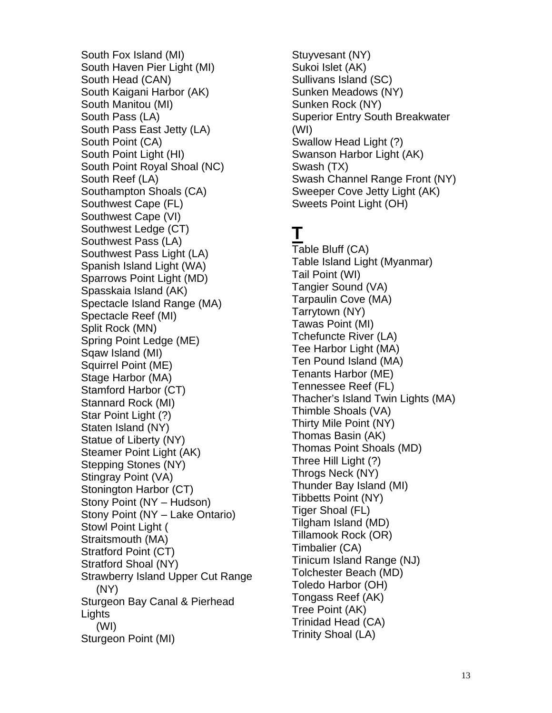South Fox Island (MI) South Haven Pier Light (MI) South Head (CAN) South Kaigani Harbor (AK) South Manitou (MI) South Pass (LA) South Pass East Jetty (LA) South Point (CA) South Point Light (HI) South Point Royal Shoal (NC) South Reef (LA) Southampton Shoals (CA) Southwest Cape (FL) Southwest Cape (VI) Southwest Ledge (CT) Southwest Pass (LA) Southwest Pass Light (LA) Spanish Island Light (WA) Sparrows Point Light (MD) Spasskaia Island (AK) Spectacle Island Range (MA) Spectacle Reef (MI) Split Rock (MN) Spring Point Ledge (ME) Sqaw Island (MI) Squirrel Point (ME) Stage Harbor (MA) Stamford Harbor (CT) Stannard Rock (MI) Star Point Light (?) Staten Island (NY) Statue of Liberty (NY) Steamer Point Light (AK) Stepping Stones (NY) Stingray Point (VA) Stonington Harbor (CT) Stony Point (NY – Hudson) Stony Point (NY – Lake Ontario) Stowl Point Light ( Straitsmouth (MA) Stratford Point (CT) Stratford Shoal (NY) Strawberry Island Upper Cut Range (NY) Sturgeon Bay Canal & Pierhead **Lights**  (WI) Sturgeon Point (MI)

Stuyvesant (NY) Sukoi Islet (AK) Sullivans Island (SC) Sunken Meadows (NY) Sunken Rock (NY) Superior Entry South Breakwater (WI) Swallow Head Light (?) Swanson Harbor Light (AK) Swash (TX) Swash Channel Range Front (NY) Sweeper Cove Jetty Light (AK) Sweets Point Light (OH)

## **T**

Table Bluff (CA) Table Island Light (Myanmar) Tail Point (WI) Tangier Sound (VA) Tarpaulin Cove (MA) Tarrytown (NY) Tawas Point (MI) Tchefuncte River (LA) Tee Harbor Light (MA) Ten Pound Island (MA) Tenants Harbor (ME) Tennessee Reef (FL) Thacher's Island Twin Lights (MA) Thimble Shoals (VA) Thirty Mile Point (NY) Thomas Basin (AK) Thomas Point Shoals (MD) Three Hill Light (?) Throgs Neck (NY) Thunder Bay Island (MI) Tibbetts Point (NY) Tiger Shoal (FL) Tilgham Island (MD) Tillamook Rock (OR) Timbalier (CA) Tinicum Island Range (NJ) Tolchester Beach (MD) Toledo Harbor (OH) Tongass Reef (AK) Tree Point (AK) Trinidad Head (CA) Trinity Shoal (LA)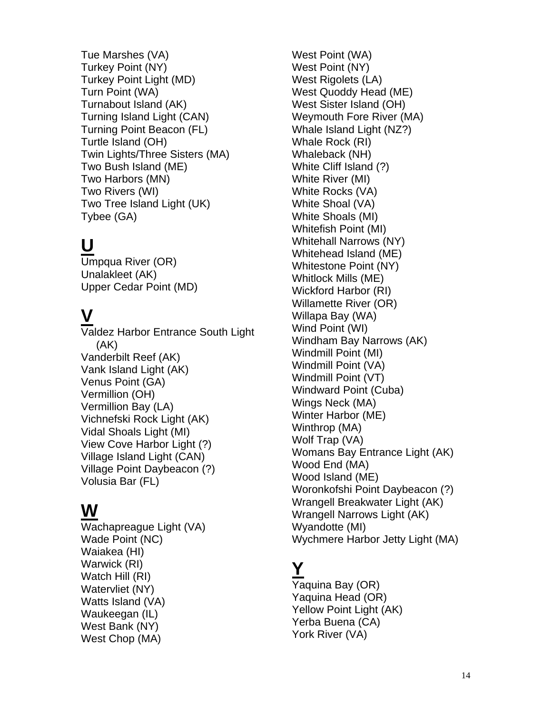Tue Marshes (VA) Turkey Point (NY) Turkey Point Light (MD) Turn Point (WA) Turnabout Island (AK) Turning Island Light (CAN) Turning Point Beacon (FL) Turtle Island (OH) Twin Lights/Three Sisters (MA) Two Bush Island (ME) Two Harbors (MN) Two Rivers (WI) Two Tree Island Light (UK) Tybee (GA)

## **U**

Umpqua River (OR) Unalakleet (AK) Upper Cedar Point (MD)

## **V**

Valdez Harbor Entrance South Light (AK) Vanderbilt Reef (AK) Vank Island Light (AK) Venus Point (GA) Vermillion (OH) Vermillion Bay (LA) Vichnefski Rock Light (AK) Vidal Shoals Light (MI) View Cove Harbor Light (?) Village Island Light (CAN) Village Point Daybeacon (?) Volusia Bar (FL)

#### **W**

Wachapreague Light (VA) Wade Point (NC) Waiakea (HI) Warwick (RI) Watch Hill (RI) Watervliet (NY) Watts Island (VA) Waukeegan (IL) West Bank (NY) West Chop (MA)

West Point (WA) West Point (NY) West Rigolets (LA) West Quoddy Head (ME) West Sister Island (OH) Weymouth Fore River (MA) Whale Island Light (NZ?) Whale Rock (RI) Whaleback (NH) White Cliff Island (?) White River (MI) White Rocks (VA) White Shoal (VA) White Shoals (MI) Whitefish Point (MI) Whitehall Narrows (NY) Whitehead Island (ME) Whitestone Point (NY) Whitlock Mills (ME) Wickford Harbor (RI) Willamette River (OR) Willapa Bay (WA) Wind Point (WI) Windham Bay Narrows (AK) Windmill Point (MI) Windmill Point (VA) Windmill Point (VT) Windward Point (Cuba) Wings Neck (MA) Winter Harbor (ME) Winthrop (MA) Wolf Trap (VA) Womans Bay Entrance Light (AK) Wood End (MA) Wood Island (ME) Woronkofshi Point Daybeacon (?) Wrangell Breakwater Light (AK) Wrangell Narrows Light (AK) Wyandotte (MI) Wychmere Harbor Jetty Light (MA)

## **Y**

Yaquina Bay (OR) Yaquina Head (OR) Yellow Point Light (AK) Yerba Buena (CA) York River (VA)